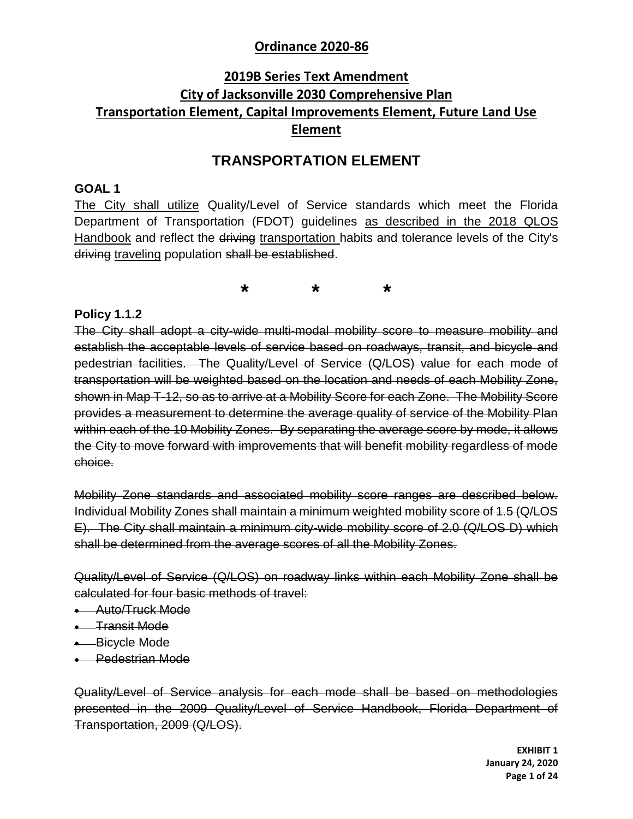## **2019B Series Text Amendment City of Jacksonville 2030 Comprehensive Plan Transportation Element, Capital Improvements Element, Future Land Use Element**

### **TRANSPORTATION ELEMENT**

#### **GOAL 1**

The City shall utilize Quality/Level of Service standards which meet the Florida Department of Transportation (FDOT) guidelines as described in the 2018 QLOS Handbook and reflect the driving transportation habits and tolerance levels of the City's driving traveling population shall be established.

**\* \* \***

#### **Policy 1.1.2**

The City shall adopt a city-wide multi-modal mobility score to measure mobility and establish the acceptable levels of service based on roadways, transit, and bicycle and pedestrian facilities. The Quality/Level of Service (Q/LOS) value for each mode of transportation will be weighted based on the location and needs of each Mobility Zone, shown in Map T-12, so as to arrive at a Mobility Score for each Zone. The Mobility Score provides a measurement to determine the average quality of service of the Mobility Plan within each of the 10 Mobility Zones. By separating the average score by mode, it allows the City to move forward with improvements that will benefit mobility regardless of mode choice.

Mobility Zone standards and associated mobility score ranges are described below. Individual Mobility Zones shall maintain a minimum weighted mobility score of 1.5 (Q/LOS E). The City shall maintain a minimum city-wide mobility score of 2.0 (Q/LOS D) which shall be determined from the average scores of all the Mobility Zones.

Quality/Level of Service (Q/LOS) on roadway links within each Mobility Zone shall be calculated for four basic methods of travel:

- **Auto/Truck Mode**
- **•** Transit Mode
- **Bicycle Mode**
- **Pedestrian Mode**

Quality/Level of Service analysis for each mode shall be based on methodologies presented in the 2009 Quality/Level of Service Handbook, Florida Department of Transportation, 2009 (Q/LOS).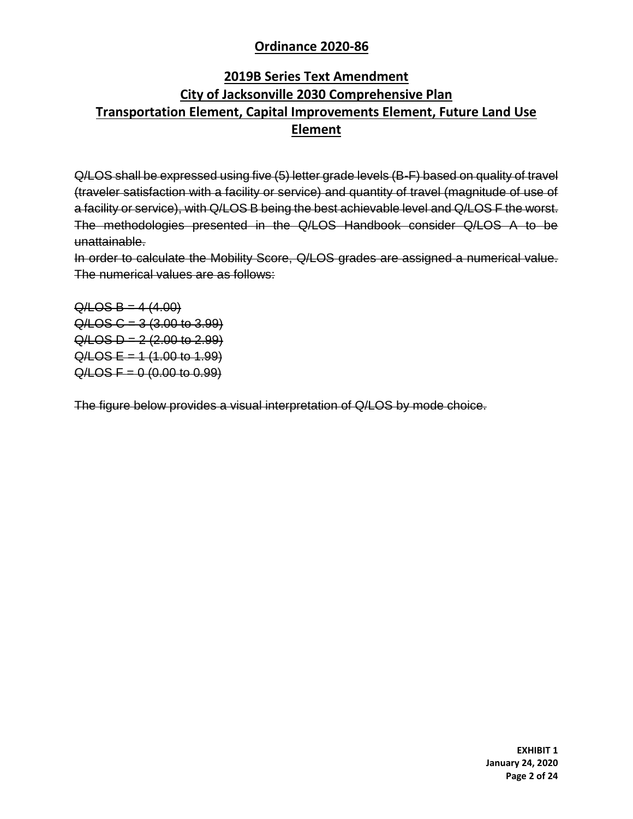## **2019B Series Text Amendment City of Jacksonville 2030 Comprehensive Plan Transportation Element, Capital Improvements Element, Future Land Use Element**

Q/LOS shall be expressed using five (5) letter grade levels (B-F) based on quality of travel (traveler satisfaction with a facility or service) and quantity of travel (magnitude of use of a facility or service), with Q/LOS B being the best achievable level and Q/LOS F the worst. The methodologies presented in the Q/LOS Handbook consider Q/LOS A to be unattainable.

In order to calculate the Mobility Score, Q/LOS grades are assigned a numerical value. The numerical values are as follows:

 $Q/LOS B = 4 (4.00)$  $Q / LOS C = 3 (3.00 to 3.99)$  $Q /$ LOS D = 2 (2.00 to 2.99)  $Q /$ LOS E = 1 (1.00 to 1.99)  $Q /$ LOS F = 0 (0.00 to 0.99)

The figure below provides a visual interpretation of Q/LOS by mode choice.

**EXHIBIT 1 January 24, 2020 Page 2 of 24**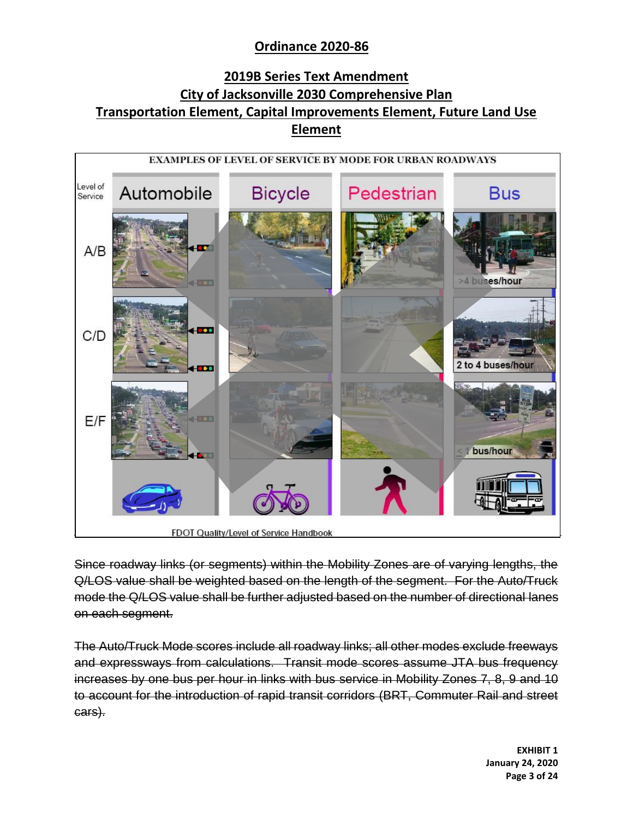## **2019B Series Text Amendment City of Jacksonville 2030 Comprehensive Plan Transportation Element, Capital Improvements Element, Future Land Use Element**



Since roadway links (or segments) within the Mobility Zones are of varying lengths, the Q/LOS value shall be weighted based on the length of the segment. For the Auto/Truck mode the Q/LOS value shall be further adjusted based on the number of directional lanes on each segment.

The Auto/Truck Mode scores include all roadway links; all other modes exclude freeways and expressways from calculations. Transit mode scores assume JTA bus frequency increases by one bus per hour in links with bus service in Mobility Zones 7, 8, 9 and 10 to account for the introduction of rapid transit corridors (BRT, Commuter Rail and street cars).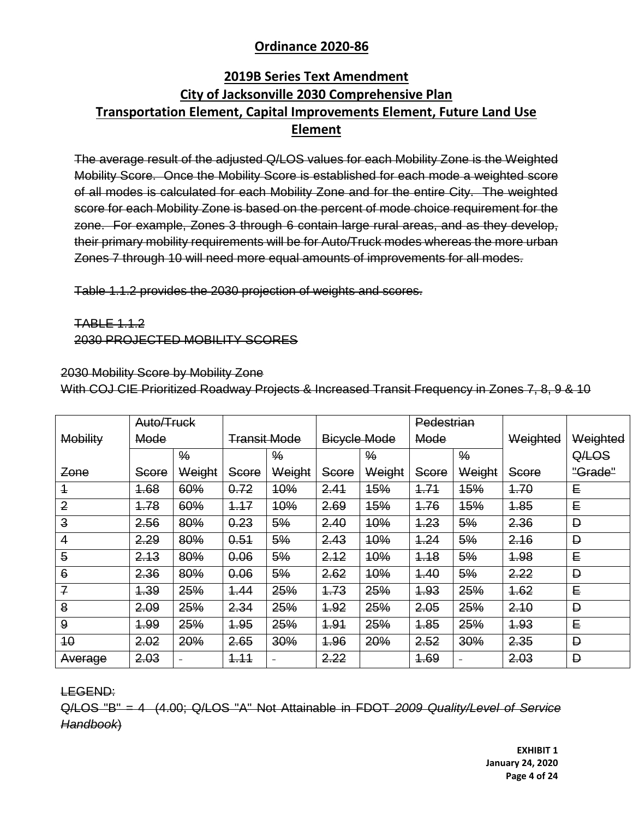## **2019B Series Text Amendment City of Jacksonville 2030 Comprehensive Plan Transportation Element, Capital Improvements Element, Future Land Use Element**

The average result of the adjusted Q/LOS values for each Mobility Zone is the Weighted Mobility Score. Once the Mobility Score is established for each mode a weighted score of all modes is calculated for each Mobility Zone and for the entire City. The weighted score for each Mobility Zone is based on the percent of mode choice requirement for the zone. For example, Zones 3 through 6 contain large rural areas, and as they develop, their primary mobility requirements will be for Auto/Truck modes whereas the more urban Zones 7 through 10 will need more equal amounts of improvements for all modes.

Table 1.1.2 provides the 2030 projection of weights and scores.

TABLE 1.1.2 2030 PROJECTED MOBILITY SCORES

2030 Mobility Score by Mobility Zone

With COJ CIE Prioritized Roadway Projects & Increased Transit Frequency in Zones 7, 8, 9 & 10

|                 | Auto/Truck |               |                     |               |                     |               | Pedestrian |               |          |          |
|-----------------|------------|---------------|---------------------|---------------|---------------------|---------------|------------|---------------|----------|----------|
| <b>Mobility</b> | Mode       |               | <b>Transit Mode</b> |               | <b>Bicycle Mode</b> |               | Mode       |               | Weighted | Weighted |
|                 |            | $\frac{9}{6}$ |                     | $\frac{9}{6}$ |                     | $\frac{9}{6}$ |            | $\frac{9}{6}$ |          | QALOS    |
| Zone            | Score      | Weight        | Score               | Weight        | Score               | Weight        | Score      | Weight        | Score    | "Grade"  |
| $\overline{1}$  | 1.68       | 60%           | 0.72                | <b>10%</b>    | 2.41                | <b>15%</b>    | 4.74       | <b>15%</b>    | 4.70     | E        |
| $\overline{2}$  | 4.78       | 60%           | 4.17                | 10%           | 2.69                | <b>15%</b>    | 4.76       | <b>15%</b>    | 4.85     | E        |
| $\overline{3}$  | 2.56       | 80%           | 0.23                | 5%            | 2.40                | <b>10%</b>    | 4.23       | 5%            | 2.36     | Đ        |
| $\overline{4}$  | 2.29       | 80%           | 0.51                | 5%            | 2.43                | <b>10%</b>    | 4.24       | 5%            | 2.16     | Đ        |
| 5               | 2.13       | 80%           | 0.06                | 5%            | 2.12                | 10%           | 4.18       | 5%            | 1.98     | E        |
| $6\phantom{1}$  | 2.36       | 80%           | 0.06                | 5%            | 2.62                | <b>10%</b>    | 4.40       | 5%            | 2.22     | Đ        |
| $\overline{f}$  | 1.39       | 25%           | 4.44                | 25%           | 4.73                | 25%           | 4.93       | 25%           | 4.62     | E        |
| 8               | 2.09       | 25%           | 2.34                | 25%           | 4.92                | 25%           | 2.05       | 25%           | 2.10     | D        |
| 9               | 4.99       | 25%           | 4.95                | 25%           | <b>1.91</b>         | 25%           | 1.85       | 25%           | 4.93     | E        |
| 40              | 2.02       | 20%           | 2.65                | 30%           | 4.96                | 20%           | 2.52       | 30%           | 2.35     | Đ        |
| Average         | 2.03       |               | 4.11                |               | 2.22                |               | 4.69       |               | 2.03     | Đ        |

LEGEND:

Q/LOS "B" = 4 (4.00; Q/LOS "A" Not Attainable in FDOT *2009 Quality/Level of Service Handbook*)

> **EXHIBIT 1 January 24, 2020 Page 4 of 24**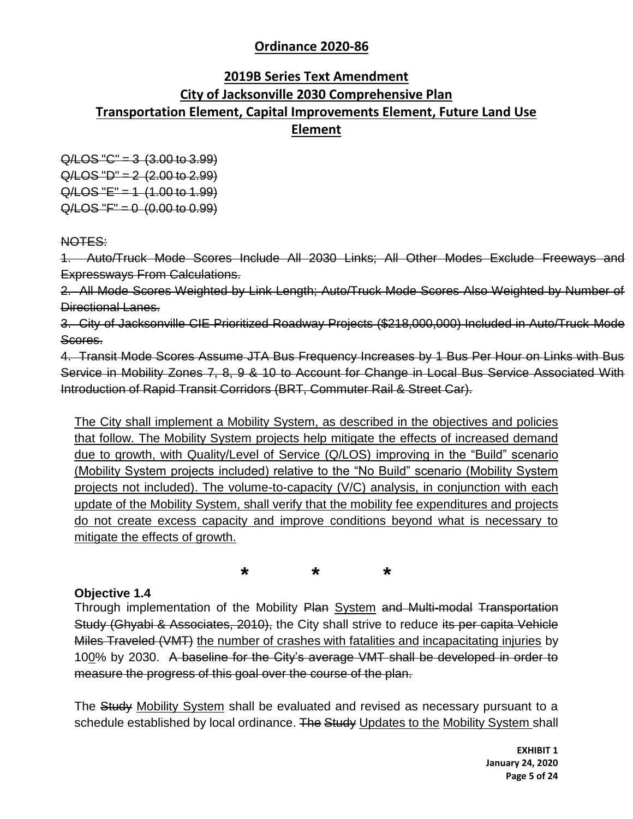## **2019B Series Text Amendment City of Jacksonville 2030 Comprehensive Plan Transportation Element, Capital Improvements Element, Future Land Use Element**

 $Q/LOS "C" = 3 (3.00 to 3.99)$  $Q/LOS "D" = 2 (2.00 to 2.99)$  $Q/LOS "E" = 1 (1.00 to 1.99)$  $Q / LOS "F" = 0 (0.00 to 0.99)$ 

NOTES:

1. Auto/Truck Mode Scores Include All 2030 Links; All Other Modes Exclude Freeways and Expressways From Calculations.

2. All Mode Scores Weighted by Link Length; Auto/Truck Mode Scores Also Weighted by Number of Directional Lanes.

3. City of Jacksonville CIE Prioritized Roadway Projects (\$218,000,000) Included in Auto/Truck Mode Scores.

4. Transit Mode Scores Assume JTA Bus Frequency Increases by 1 Bus Per Hour on Links with Bus Service in Mobility Zones 7, 8, 9 & 10 to Account for Change in Local Bus Service Associated With Introduction of Rapid Transit Corridors (BRT, Commuter Rail & Street Car).

The City shall implement a Mobility System, as described in the objectives and policies that follow. The Mobility System projects help mitigate the effects of increased demand due to growth, with Quality/Level of Service (Q/LOS) improving in the "Build" scenario (Mobility System projects included) relative to the "No Build" scenario (Mobility System projects not included). The volume-to-capacity (V/C) analysis, in conjunction with each update of the Mobility System, shall verify that the mobility fee expenditures and projects do not create excess capacity and improve conditions beyond what is necessary to mitigate the effects of growth.

**\* \* \***

#### **Objective 1.4**

Through implementation of the Mobility Plan System and Multi-modal Transportation Study (Ghyabi & Associates, 2010), the City shall strive to reduce its per capita Vehicle Miles Traveled (VMT) the number of crashes with fatalities and incapacitating injuries by 100% by 2030. A baseline for the City's average VMT shall be developed in order to measure the progress of this goal over the course of the plan.

The Study Mobility System shall be evaluated and revised as necessary pursuant to a schedule established by local ordinance. The Study Updates to the Mobility System shall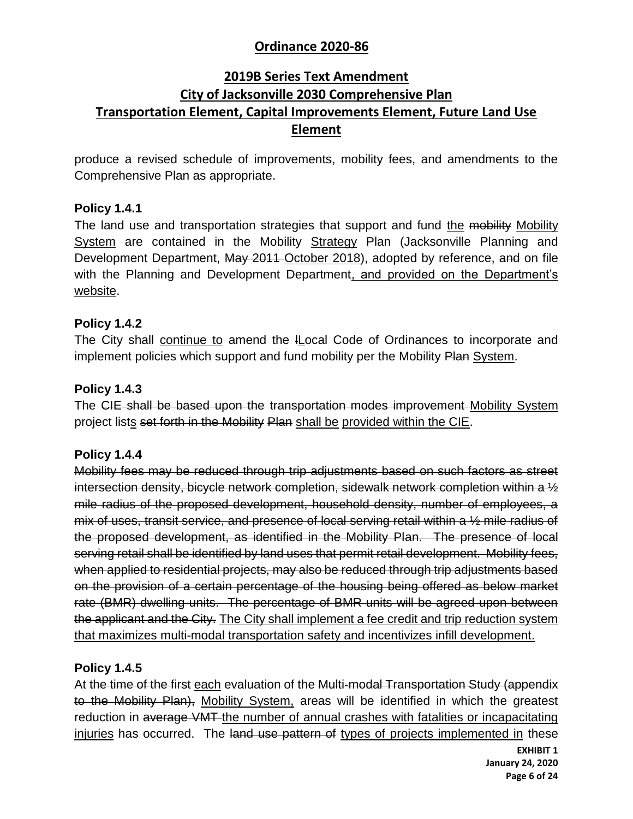## **2019B Series Text Amendment City of Jacksonville 2030 Comprehensive Plan Transportation Element, Capital Improvements Element, Future Land Use Element**

produce a revised schedule of improvements, mobility fees, and amendments to the Comprehensive Plan as appropriate.

### **Policy 1.4.1**

The land use and transportation strategies that support and fund the mobility Mobility System are contained in the Mobility Strategy Plan (Jacksonville Planning and Development Department, May 2011 October 2018), adopted by reference, and on file with the Planning and Development Department, and provided on the Department's website.

### **Policy 1.4.2**

The City shall continue to amend the ILocal Code of Ordinances to incorporate and implement policies which support and fund mobility per the Mobility Plan System.

### **Policy 1.4.3**

The CIE shall be based upon the transportation modes improvement Mobility System project lists set forth in the Mobility Plan shall be provided within the CIE.

#### **Policy 1.4.4**

Mobility fees may be reduced through trip adjustments based on such factors as street intersection density, bicycle network completion, sidewalk network completion within a ½ mile radius of the proposed development, household density, number of employees, a mix of uses, transit service, and presence of local serving retail within a ½ mile radius of the proposed development, as identified in the Mobility Plan. The presence of local serving retail shall be identified by land uses that permit retail development. Mobility fees, when applied to residential projects, may also be reduced through trip adjustments based on the provision of a certain percentage of the housing being offered as below market rate (BMR) dwelling units. The percentage of BMR units will be agreed upon between the applicant and the City. The City shall implement a fee credit and trip reduction system that maximizes multi-modal transportation safety and incentivizes infill development.

#### **Policy 1.4.5**

At the time of the first each evaluation of the Multi-modal Transportation Study (appendix to the Mobility Plan), Mobility System, areas will be identified in which the greatest reduction in average VMT the number of annual crashes with fatalities or incapacitating injuries has occurred. The land use pattern of types of projects implemented in these

> **EXHIBIT 1 January 24, 2020 Page 6 of 24**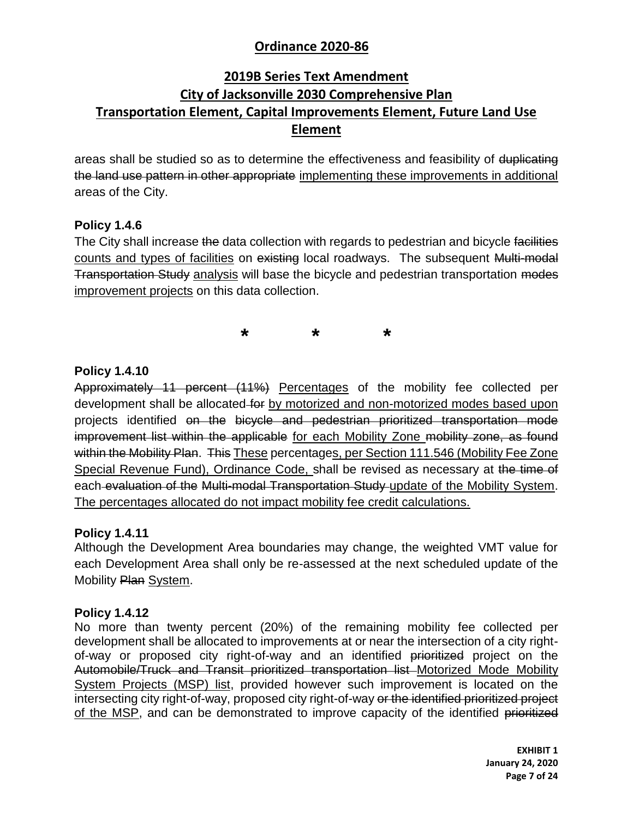## **2019B Series Text Amendment City of Jacksonville 2030 Comprehensive Plan Transportation Element, Capital Improvements Element, Future Land Use Element**

areas shall be studied so as to determine the effectiveness and feasibility of duplicating the land use pattern in other appropriate implementing these improvements in additional areas of the City.

### **Policy 1.4.6**

The City shall increase the data collection with regards to pedestrian and bicycle facilities counts and types of facilities on existing local roadways. The subsequent Multi-modal Transportation Study analysis will base the bicycle and pedestrian transportation modes improvement projects on this data collection.

**\* \* \***

### **Policy 1.4.10**

Approximately 11 percent (11%) Percentages of the mobility fee collected per development shall be allocated for by motorized and non-motorized modes based upon projects identified on the bicycle and pedestrian prioritized transportation mode improvement list within the applicable for each Mobility Zone mobility zone, as found within the Mobility Plan. This These percentages, per Section 111.546 (Mobility Fee Zone Special Revenue Fund), Ordinance Code, shall be revised as necessary at the time of each evaluation of the Multi-modal Transportation Study update of the Mobility System. The percentages allocated do not impact mobility fee credit calculations.

#### **Policy 1.4.11**

Although the Development Area boundaries may change, the weighted VMT value for each Development Area shall only be re-assessed at the next scheduled update of the Mobility Plan System.

#### **Policy 1.4.12**

No more than twenty percent (20%) of the remaining mobility fee collected per development shall be allocated to improvements at or near the intersection of a city rightof-way or proposed city right-of-way and an identified prioritized project on the Automobile/Truck and Transit prioritized transportation list Motorized Mode Mobility System Projects (MSP) list, provided however such improvement is located on the intersecting city right-of-way, proposed city right-of-way or the identified prioritized project of the MSP, and can be demonstrated to improve capacity of the identified prioritized

> **EXHIBIT 1 January 24, 2020 Page 7 of 24**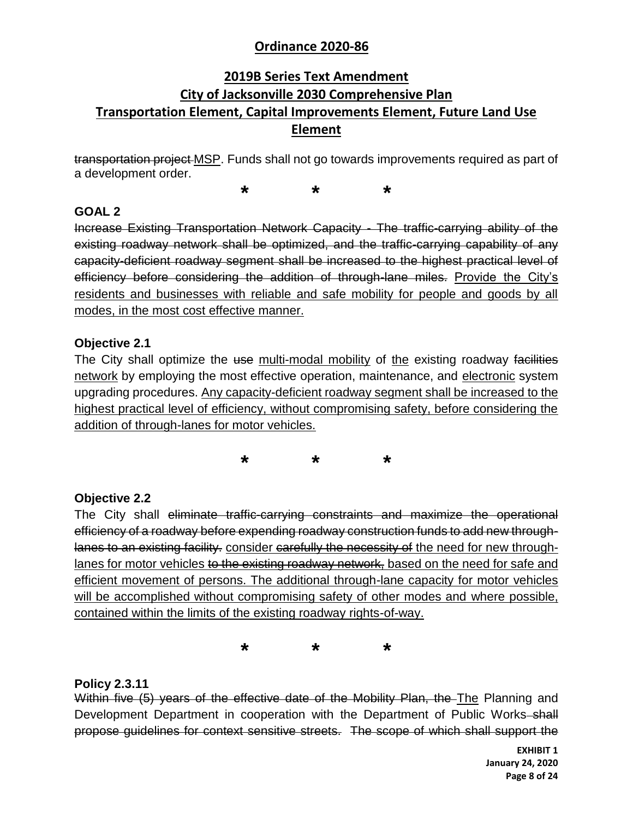## **2019B Series Text Amendment City of Jacksonville 2030 Comprehensive Plan Transportation Element, Capital Improvements Element, Future Land Use Element**

transportation project MSP. Funds shall not go towards improvements required as part of a development order.

**\* \* \***

### **GOAL 2**

Increase Existing Transportation Network Capacity - The traffic-carrying ability of the existing roadway network shall be optimized, and the traffic-carrying capability of any capacity-deficient roadway segment shall be increased to the highest practical level of efficiency before considering the addition of through-lane miles. Provide the City's residents and businesses with reliable and safe mobility for people and goods by all modes, in the most cost effective manner.

### **Objective 2.1**

The City shall optimize the use multi-modal mobility of the existing roadway facilities network by employing the most effective operation, maintenance, and electronic system upgrading procedures. Any capacity-deficient roadway segment shall be increased to the highest practical level of efficiency, without compromising safety, before considering the addition of through-lanes for motor vehicles.

**\* \* \***

### **Objective 2.2**

The City shall eliminate traffic-carrying constraints and maximize the operational efficiency of a roadway before expending roadway construction funds to add new throughlanes to an existing facility. consider carefully the necessity of the need for new throughlanes for motor vehicles to the existing roadway network, based on the need for safe and efficient movement of persons. The additional through-lane capacity for motor vehicles will be accomplished without compromising safety of other modes and where possible, contained within the limits of the existing roadway rights-of-way.

**\* \* \***

### **Policy 2.3.11**

Within five (5) years of the effective date of the Mobility Plan, the The Planning and Development Department in cooperation with the Department of Public Works–shall propose guidelines for context sensitive streets. The scope of which shall support the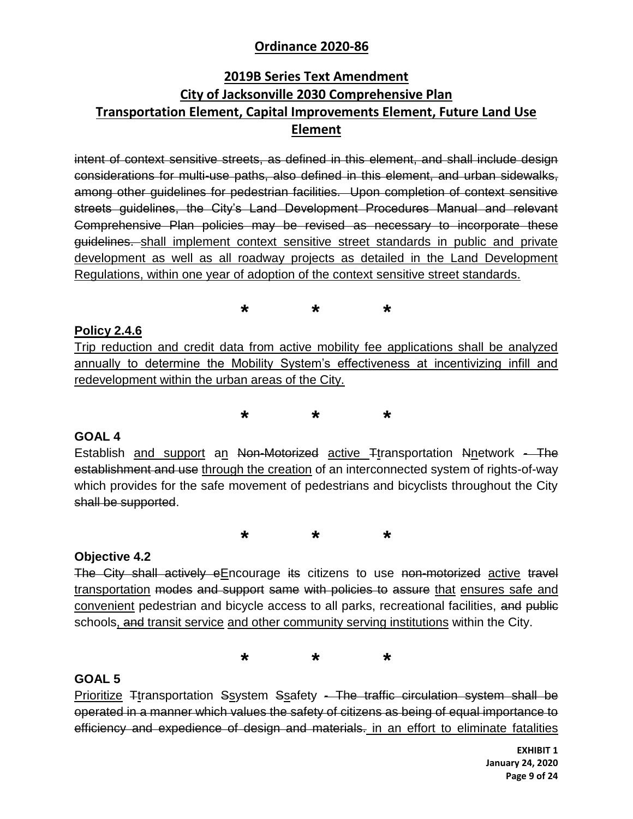## **2019B Series Text Amendment City of Jacksonville 2030 Comprehensive Plan Transportation Element, Capital Improvements Element, Future Land Use Element**

intent of context sensitive streets, as defined in this element, and shall include design considerations for multi-use paths, also defined in this element, and urban sidewalks, among other guidelines for pedestrian facilities. Upon completion of context sensitive streets guidelines, the City's Land Development Procedures Manual and relevant Comprehensive Plan policies may be revised as necessary to incorporate these guidelines. shall implement context sensitive street standards in public and private development as well as all roadway projects as detailed in the Land Development Regulations, within one year of adoption of the context sensitive street standards.

**\* \* \***

### **Policy 2.4.6**

Trip reduction and credit data from active mobility fee applications shall be analyzed annually to determine the Mobility System's effectiveness at incentivizing infill and redevelopment within the urban areas of the City.

**\* \* \***

#### **GOAL 4**

Establish and support an Non-Motorized active Ttransportation Nnetwork - The establishment and use through the creation of an interconnected system of rights-of-way which provides for the safe movement of pedestrians and bicyclists throughout the City shall be supported.

**\* \* \***

#### **Objective 4.2**

The City shall actively eEncourage its citizens to use non-motorized active travel transportation modes and support same with policies to assure that ensures safe and convenient pedestrian and bicycle access to all parks, recreational facilities, and public schools, and transit service and other community serving institutions within the City.

**\* \* \***

### **GOAL 5**

Prioritize Ttransportation Ssystem Ssafety - The traffic circulation system shall be operated in a manner which values the safety of citizens as being of equal importance to efficiency and expedience of design and materials. in an effort to eliminate fatalities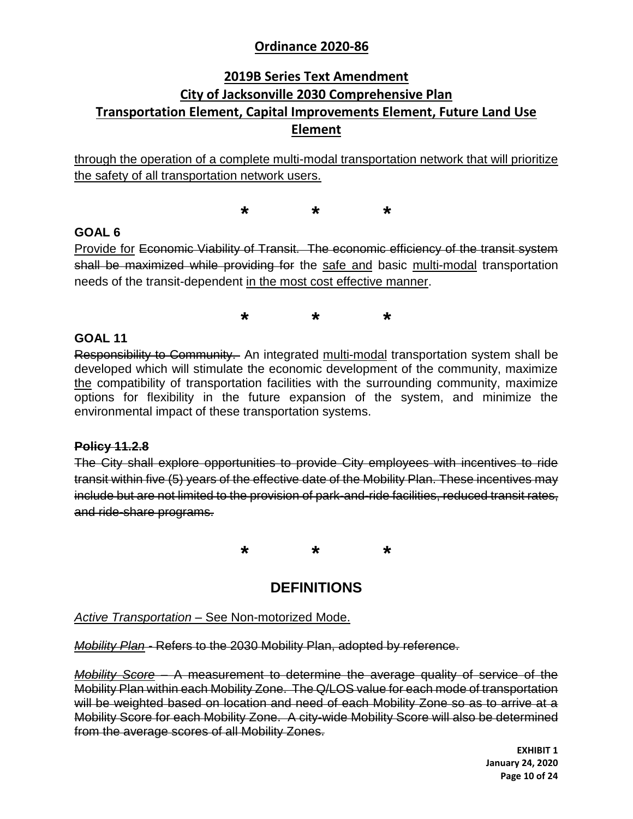## **2019B Series Text Amendment City of Jacksonville 2030 Comprehensive Plan Transportation Element, Capital Improvements Element, Future Land Use Element**

through the operation of a complete multi-modal transportation network that will prioritize the safety of all transportation network users.

**\* \* \***

### **GOAL 6**

Provide for Economic Viability of Transit. The economic efficiency of the transit system shall be maximized while providing for the safe and basic multi-modal transportation needs of the transit-dependent in the most cost effective manner.

**\* \* \***

#### **GOAL 11**

Responsibility to Community. An integrated multi-modal transportation system shall be developed which will stimulate the economic development of the community, maximize the compatibility of transportation facilities with the surrounding community, maximize options for flexibility in the future expansion of the system, and minimize the environmental impact of these transportation systems.

#### **Policy 11.2.8**

The City shall explore opportunities to provide City employees with incentives to ride transit within five (5) years of the effective date of the Mobility Plan. These incentives may include but are not limited to the provision of park-and-ride facilities, reduced transit rates, and ride-share programs.

**\* \* \***

## **DEFINITIONS**

*Active Transportation* – See Non-motorized Mode.

*Mobility Plan -* Refers to the 2030 Mobility Plan, adopted by reference.

*Mobility Score* – A measurement to determine the average quality of service of the Mobility Plan within each Mobility Zone. The Q/LOS value for each mode of transportation will be weighted based on location and need of each Mobility Zone so as to arrive at a Mobility Score for each Mobility Zone. A city-wide Mobility Score will also be determined from the average scores of all Mobility Zones.

> **EXHIBIT 1 January 24, 2020 Page 10 of 24**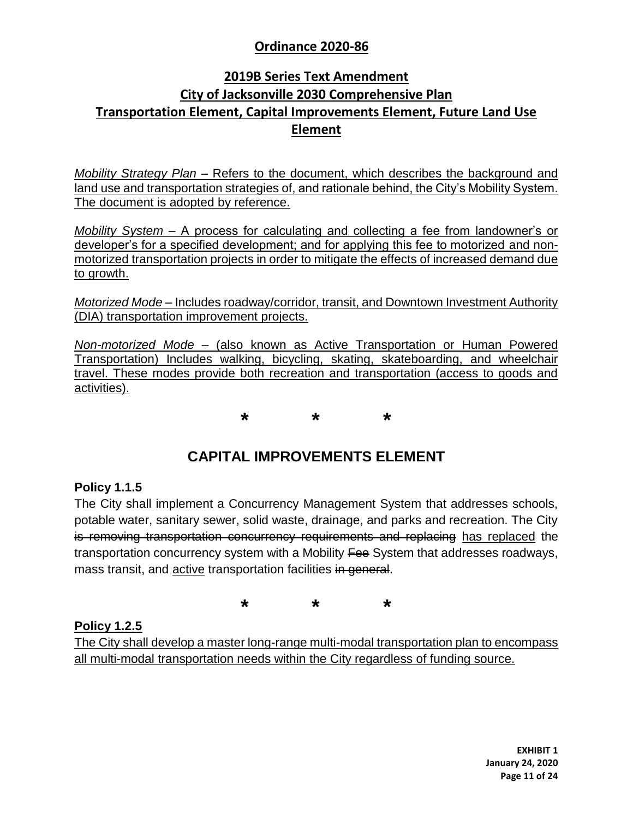## **2019B Series Text Amendment City of Jacksonville 2030 Comprehensive Plan Transportation Element, Capital Improvements Element, Future Land Use Element**

*Mobility Strategy Plan* – Refers to the document, which describes the background and land use and transportation strategies of, and rationale behind, the City's Mobility System. The document is adopted by reference.

*Mobility System* – A process for calculating and collecting a fee from landowner's or developer's for a specified development; and for applying this fee to motorized and nonmotorized transportation projects in order to mitigate the effects of increased demand due to growth.

*Motorized Mode* – Includes roadway/corridor, transit, and Downtown Investment Authority (DIA) transportation improvement projects.

*Non-motorized Mode* – (also known as Active Transportation or Human Powered Transportation) Includes walking, bicycling, skating, skateboarding, and wheelchair travel. These modes provide both recreation and transportation (access to goods and activities).

**\* \* \***

## **CAPITAL IMPROVEMENTS ELEMENT**

#### **Policy 1.1.5**

The City shall implement a Concurrency Management System that addresses schools, potable water, sanitary sewer, solid waste, drainage, and parks and recreation. The City is removing transportation concurrency requirements and replacing has replaced the transportation concurrency system with a Mobility Fee System that addresses roadways, mass transit, and active transportation facilities in general.

**\* \* \***

### **Policy 1.2.5**

The City shall develop a master long-range multi-modal transportation plan to encompass all multi-modal transportation needs within the City regardless of funding source.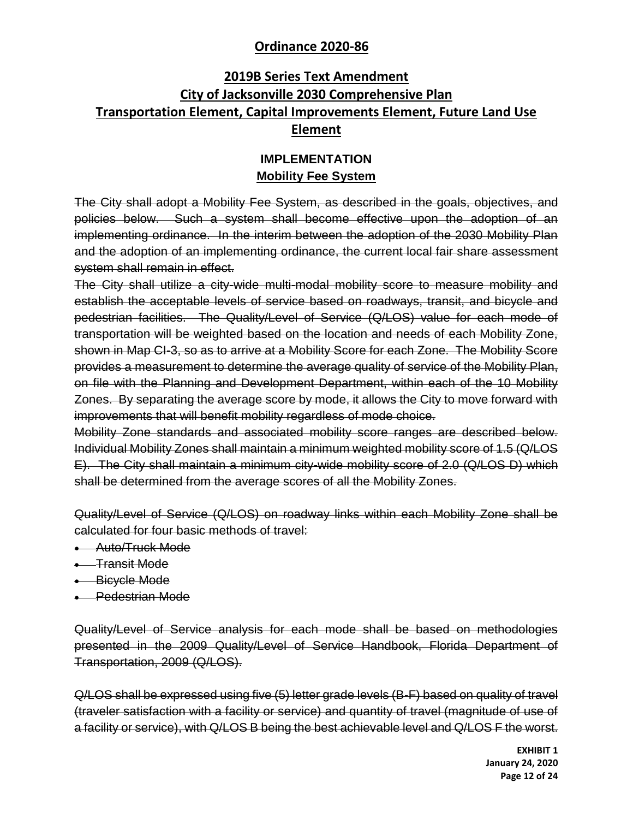## **2019B Series Text Amendment City of Jacksonville 2030 Comprehensive Plan Transportation Element, Capital Improvements Element, Future Land Use Element**

### **IMPLEMENTATION Mobility Fee System**

The City shall adopt a Mobility Fee System, as described in the goals, objectives, and policies below. Such a system shall become effective upon the adoption of an implementing ordinance. In the interim between the adoption of the 2030 Mobility Plan and the adoption of an implementing ordinance, the current local fair share assessment system shall remain in effect.

The City shall utilize a city-wide multi-modal mobility score to measure mobility and establish the acceptable levels of service based on roadways, transit, and bicycle and pedestrian facilities. The Quality/Level of Service (Q/LOS) value for each mode of transportation will be weighted based on the location and needs of each Mobility Zone, shown in Map CI-3, so as to arrive at a Mobility Score for each Zone. The Mobility Score provides a measurement to determine the average quality of service of the Mobility Plan, on file with the Planning and Development Department, within each of the 10 Mobility Zones. By separating the average score by mode, it allows the City to move forward with improvements that will benefit mobility regardless of mode choice.

Mobility Zone standards and associated mobility score ranges are described below. Individual Mobility Zones shall maintain a minimum weighted mobility score of 1.5 (Q/LOS E). The City shall maintain a minimum city-wide mobility score of 2.0 (Q/LOS D) which shall be determined from the average scores of all the Mobility Zones.

Quality/Level of Service (Q/LOS) on roadway links within each Mobility Zone shall be calculated for four basic methods of travel:

- **Auto/Truck Mode**
- **Transit Mode**
- **Bicycle Mode**
- **-** Pedestrian Mode

Quality/Level of Service analysis for each mode shall be based on methodologies presented in the 2009 Quality/Level of Service Handbook, Florida Department of Transportation, 2009 (Q/LOS).

Q/LOS shall be expressed using five (5) letter grade levels (B-F) based on quality of travel (traveler satisfaction with a facility or service) and quantity of travel (magnitude of use of a facility or service), with Q/LOS B being the best achievable level and Q/LOS F the worst.

> **EXHIBIT 1 January 24, 2020 Page 12 of 24**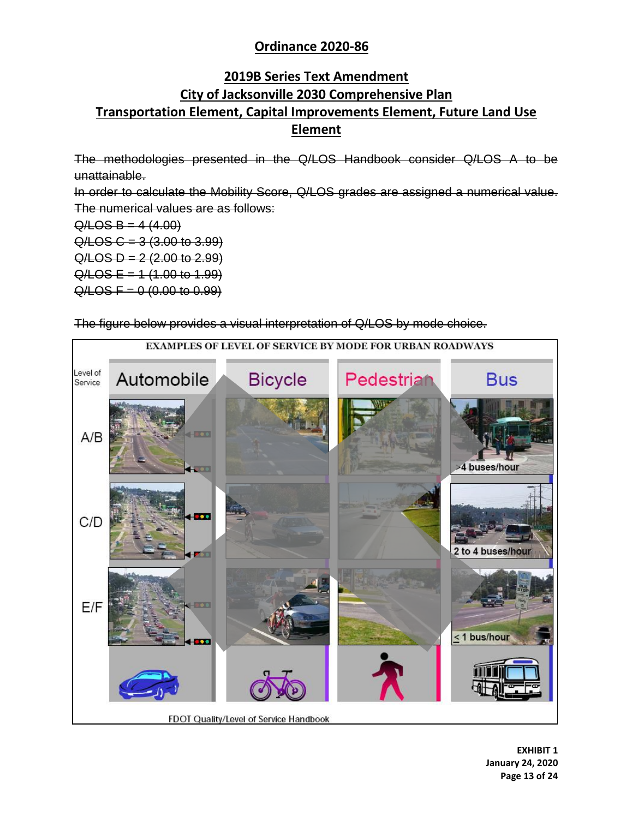## **2019B Series Text Amendment City of Jacksonville 2030 Comprehensive Plan Transportation Element, Capital Improvements Element, Future Land Use Element**

The methodologies presented in the Q/LOS Handbook consider Q/LOS A to be unattainable.

In order to calculate the Mobility Score, Q/LOS grades are assigned a numerical value. The numerical values are as follows:

 $Q/LOS B = 4 (4.00)$ 

 $Q / LOS C = 3 (3.00 to 3.99)$ 

 $Q / LOS D = 2 (2.00 to 2.99)$ 

 $Q /$ LOS E = 1 (1.00 to 1.99)

 $Q /$ LOS F = 0  $(0.00$  to 0.99)

The figure below provides a visual interpretation of Q/LOS by mode choice.



**EXHIBIT 1 January 24, 2020 Page 13 of 24**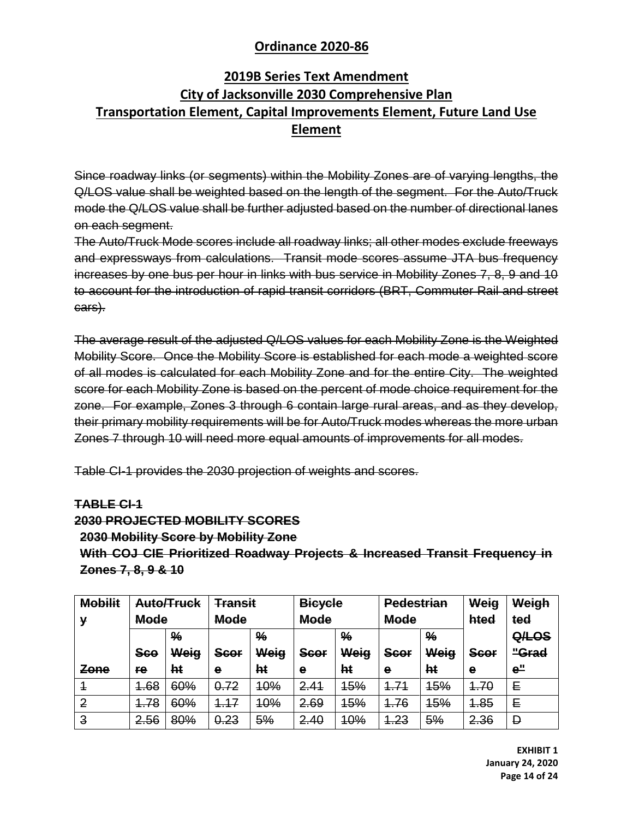## **2019B Series Text Amendment City of Jacksonville 2030 Comprehensive Plan Transportation Element, Capital Improvements Element, Future Land Use Element**

Since roadway links (or segments) within the Mobility Zones are of varying lengths, the Q/LOS value shall be weighted based on the length of the segment. For the Auto/Truck mode the Q/LOS value shall be further adjusted based on the number of directional lanes on each segment.

The Auto/Truck Mode scores include all roadway links; all other modes exclude freeways and expressways from calculations. Transit mode scores assume JTA bus frequency increases by one bus per hour in links with bus service in Mobility Zones 7, 8, 9 and 10 to account for the introduction of rapid transit corridors (BRT, Commuter Rail and street cars).

The average result of the adjusted Q/LOS values for each Mobility Zone is the Weighted Mobility Score. Once the Mobility Score is established for each mode a weighted score of all modes is calculated for each Mobility Zone and for the entire City. The weighted score for each Mobility Zone is based on the percent of mode choice requirement for the zone. For example, Zones 3 through 6 contain large rural areas, and as they develop, their primary mobility requirements will be for Auto/Truck modes whereas the more urban Zones 7 through 10 will need more equal amounts of improvements for all modes.

Table CI-1 provides the 2030 projection of weights and scores.

#### **TABLE CI-1**

## **2030 PROJECTED MOBILITY SCORES 2030 Mobility Score by Mobility Zone With COJ CIE Prioritized Roadway Projects & Increased Transit Frequency in Zones 7, 8, 9 & 10**

| <b>Mobilit</b> | Auto/Truck  |               | <b>Transit</b> |               | <b>Bicycle</b> |               | <b>Pedestrian</b> |               | Weig        | Weigh           |
|----------------|-------------|---------------|----------------|---------------|----------------|---------------|-------------------|---------------|-------------|-----------------|
| v              | <b>Mode</b> |               | <b>Mode</b>    |               | <b>Mode</b>    |               | <b>Mode</b>       |               | hted        | ted             |
|                |             | $\frac{9}{6}$ |                | $\frac{9}{6}$ |                | $\frac{9}{6}$ |                   | $\frac{9}{6}$ |             | Q/LOS           |
|                | <b>Sco</b>  | Weig          | Scor           | Weig          | <b>Scor</b>    | Weig          | Scor              | Weig          | <b>Scor</b> | "Grad           |
| Zone           | re          | hŧ            | е              | ht            | е              | ht            | е                 | ht            | e           | e <sup>''</sup> |
| $\overline{1}$ | 4.68        | 60%           | 0.72           | <b>10%</b>    | 2.41           | <b>15%</b>    | 4.71              | 15%           | 4.70        | Е               |
| $\overline{2}$ | -78         | 60%           | 17<br>1        | <b>10%</b>    | 2.69           | <b>15%</b>    | 1.76              | <b>15%</b>    | <b>1.85</b> | E               |
| $\overline{3}$ | 2.56        | 80%           | 0.23           | 5%            | 2.40           | <b>10%</b>    | 4.23<br>1         | 5%            | 2.36        | Đ               |

**EXHIBIT 1 January 24, 2020 Page 14 of 24**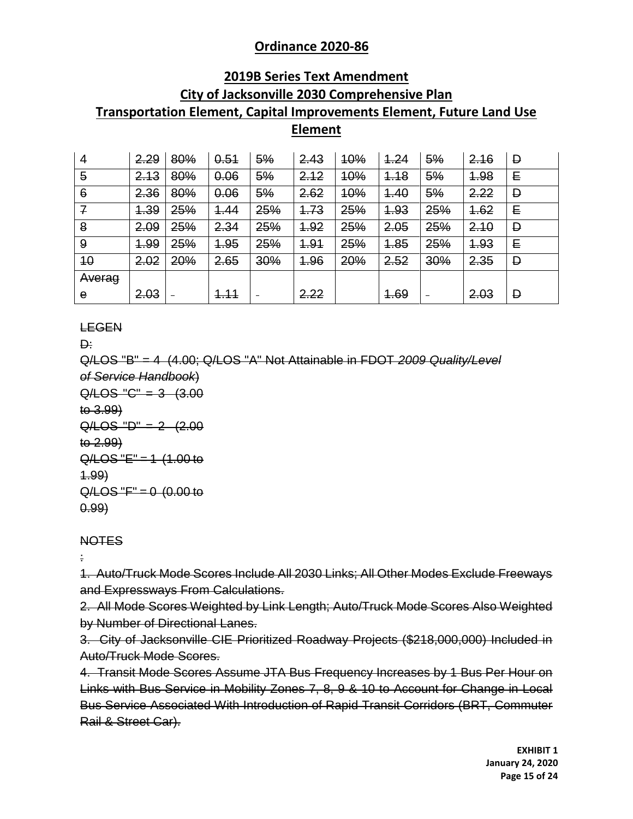### **2019B Series Text Amendment**

# **City of Jacksonville 2030 Comprehensive Plan Transportation Element, Capital Improvements Element, Future Land Use**

### **Element**

| $\overline{4}$ | 2.29 | 80% | 0.51         | 5%  | 2.43 | <b>10%</b> | 4.24 | 5%  | 2.16 | Đ |
|----------------|------|-----|--------------|-----|------|------------|------|-----|------|---|
| $\overline{5}$ | 2.13 | 80% | 0.06         | 5%  | 2.12 | <b>10%</b> | 4.18 | 5%  | 1.98 | E |
| 6              | 2.36 | 80% | 0.06         | 5%  | 2.62 | 10%        | 4.40 | 5%  | 2.22 | Đ |
| $\overline{f}$ | 4.39 | 25% | 4.44         | 25% | 4.73 | 25%        | 4.93 | 25% | 4.62 | E |
| 8              | 2.09 | 25% | 2.34         | 25% | 1.92 | 25%        | 2.05 | 25% | 2.10 | Đ |
| 9              | 4.99 | 25% | 4.95         | 25% | 4.91 | 25%        | 1.85 | 25% | 4.93 | Е |
| 40             | 2.02 | 20% | 2.65         | 30% | 4.96 | 20%        | 2.52 | 30% | 2.35 | Đ |
| Averag         |      |     |              |     |      |            |      |     |      |   |
| $\mathbf e$    | 2.03 |     | <u> 1.11</u> |     | 2.22 |            | 1.69 | -   | 2.03 | Đ |

### LEGEN

D:

Q/LOS "B" = 4 (4.00; Q/LOS "A" Not Attainable in FDOT *2009 Quality/Level of Service Handbook*)  $Q/LOS "C" = 3 (3.00)$ to 3.99)  $Q/LOS "D" = 2 (2.00)$ to 2.99)  $Q/LOS "E" = 1 (1.00 to$ 1.99)  $Q/LOS "F" = 0 (0.00 to$ 

# **NOTES**

0.99)

:

1. Auto/Truck Mode Scores Include All 2030 Links; All Other Modes Exclude Freeways and Expressways From Calculations.

2. All Mode Scores Weighted by Link Length; Auto/Truck Mode Scores Also Weighted by Number of Directional Lanes.

3. City of Jacksonville CIE Prioritized Roadway Projects (\$218,000,000) Included in Auto/Truck Mode Scores.

4. Transit Mode Scores Assume JTA Bus Frequency Increases by 1 Bus Per Hour on Links with Bus Service in Mobility Zones 7, 8, 9 & 10 to Account for Change in Local Bus Service Associated With Introduction of Rapid Transit Corridors (BRT, Commuter Rail & Street Car).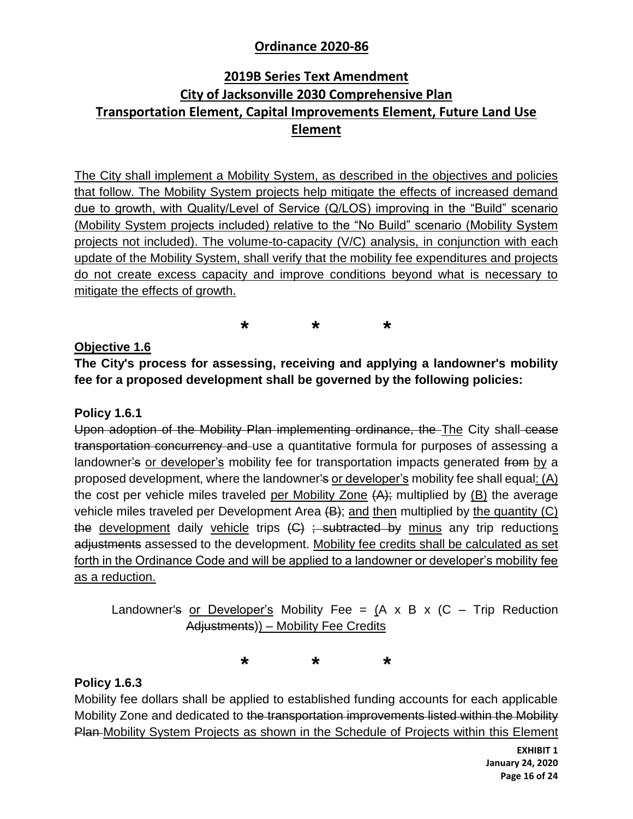## **2019B Series Text Amendment City of Jacksonville 2030 Comprehensive Plan Transportation Element, Capital Improvements Element, Future Land Use Element**

The City shall implement a Mobility System, as described in the objectives and policies that follow. The Mobility System projects help mitigate the effects of increased demand due to growth, with Quality/Level of Service (Q/LOS) improving in the "Build" scenario (Mobility System projects included) relative to the "No Build" scenario (Mobility System projects not included). The volume-to-capacity (V/C) analysis, in conjunction with each update of the Mobility System, shall verify that the mobility fee expenditures and projects do not create excess capacity and improve conditions beyond what is necessary to mitigate the effects of growth.

**\* \* \***

**Objective 1.6**

**The City's process for assessing, receiving and applying a landowner's mobility fee for a proposed development shall be governed by the following policies:**

### **Policy 1.6.1**

Upon adoption of the Mobility Plan implementing ordinance, the The City shall cease transportation concurrency and use a quantitative formula for purposes of assessing a landowner's or developer's mobility fee for transportation impacts generated from by a proposed development, where the landowner's or developer's mobility fee shall equal: (A) the cost per vehicle miles traveled per Mobility Zone  $\{A\}$ ; multiplied by (B) the average vehicle miles traveled per Development Area  $(B)$ ; and then multiplied by the quantity (C) the development daily vehicle trips  $(G)$ ; subtracted by minus any trip reductions adjustments assessed to the development. Mobility fee credits shall be calculated as set forth in the Ordinance Code and will be applied to a landowner or developer's mobility fee as a reduction.

Landowner's or Developer's Mobility Fee =  $(A \times B \times (C - T)^{T}$  Reduction Adjustments)) – Mobility Fee Credits

**\* \* \***

### **Policy 1.6.3**

Mobility fee dollars shall be applied to established funding accounts for each applicable Mobility Zone and dedicated to the transportation improvements listed within the Mobility Plan Mobility System Projects as shown in the Schedule of Projects within this Element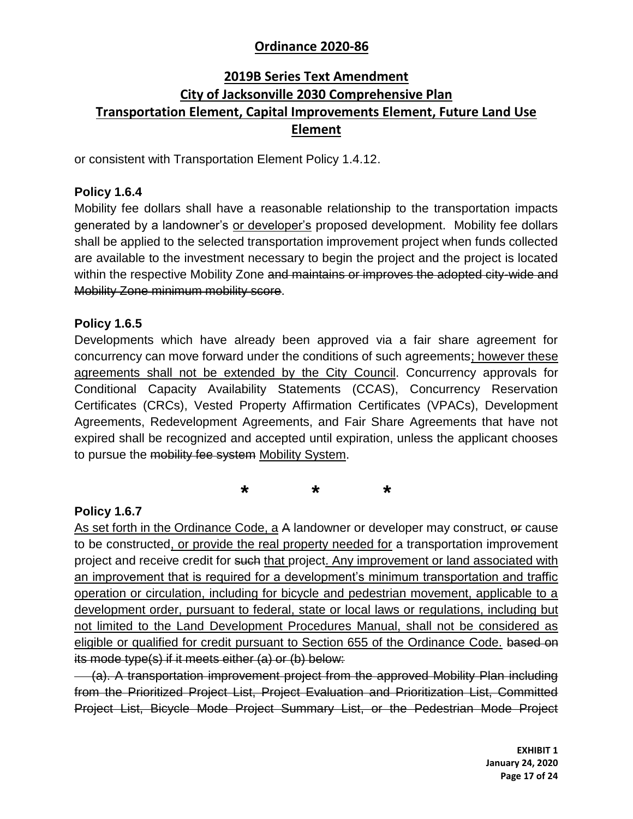## **2019B Series Text Amendment City of Jacksonville 2030 Comprehensive Plan Transportation Element, Capital Improvements Element, Future Land Use Element**

or consistent with Transportation Element Policy 1.4.12.

### **Policy 1.6.4**

Mobility fee dollars shall have a reasonable relationship to the transportation impacts generated by a landowner's or developer's proposed development. Mobility fee dollars shall be applied to the selected transportation improvement project when funds collected are available to the investment necessary to begin the project and the project is located within the respective Mobility Zone and maintains or improves the adopted city-wide and Mobility Zone minimum mobility score.

### **Policy 1.6.5**

Developments which have already been approved via a fair share agreement for concurrency can move forward under the conditions of such agreements; however these agreements shall not be extended by the City Council. Concurrency approvals for Conditional Capacity Availability Statements (CCAS), Concurrency Reservation Certificates (CRCs), Vested Property Affirmation Certificates (VPACs), Development Agreements, Redevelopment Agreements, and Fair Share Agreements that have not expired shall be recognized and accepted until expiration, unless the applicant chooses to pursue the mobility fee system Mobility System.

**\* \* \***

### **Policy 1.6.7**

As set forth in the Ordinance Code, a A landowner or developer may construct, or cause to be constructed, or provide the real property needed for a transportation improvement project and receive credit for such that project. Any improvement or land associated with an improvement that is required for a development's minimum transportation and traffic operation or circulation, including for bicycle and pedestrian movement, applicable to a development order, pursuant to federal, state or local laws or regulations, including but not limited to the Land Development Procedures Manual, shall not be considered as eligible or qualified for credit pursuant to Section 655 of the Ordinance Code. based on its mode type(s) if it meets either (a) or (b) below:

 (a). A transportation improvement project from the approved Mobility Plan including from the Prioritized Project List, Project Evaluation and Prioritization List, Committed Project List, Bicycle Mode Project Summary List, or the Pedestrian Mode Project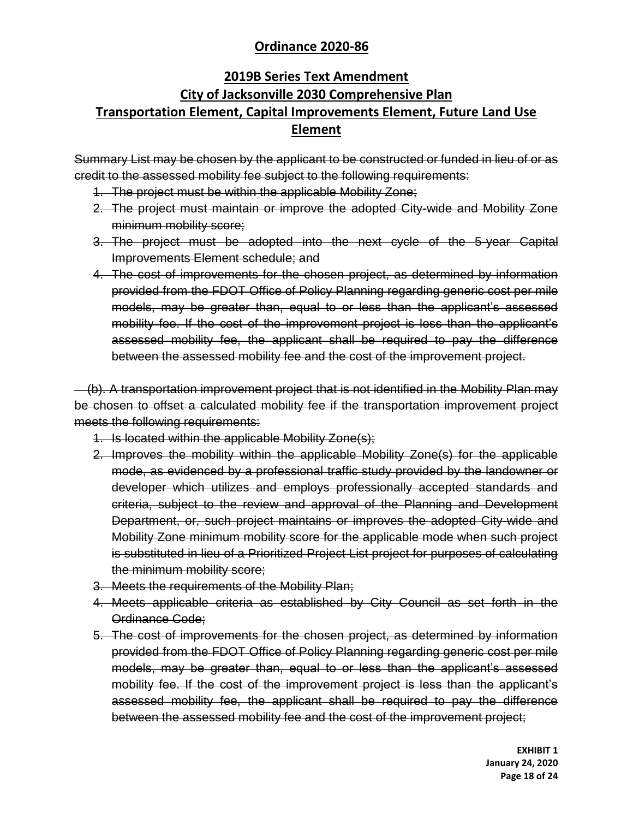## **2019B Series Text Amendment City of Jacksonville 2030 Comprehensive Plan Transportation Element, Capital Improvements Element, Future Land Use Element**

Summary List may be chosen by the applicant to be constructed or funded in lieu of or as credit to the assessed mobility fee subject to the following requirements:

- 1. The project must be within the applicable Mobility Zone;
- 2. The project must maintain or improve the adopted City-wide and Mobility Zone minimum mobility score;
- 3. The project must be adopted into the next cycle of the 5-year Capital Improvements Element schedule; and
- 4. The cost of improvements for the chosen project, as determined by information provided from the FDOT Office of Policy Planning regarding generic cost per mile models, may be greater than, equal to or less than the applicant's assessed mobility fee. If the cost of the improvement project is less than the applicant's assessed mobility fee, the applicant shall be required to pay the difference between the assessed mobility fee and the cost of the improvement project.

(b). A transportation improvement project that is not identified in the Mobility Plan may be chosen to offset a calculated mobility fee if the transportation improvement project meets the following requirements:

- 1. Is located within the applicable Mobility Zone(s);
- 2. Improves the mobility within the applicable Mobility Zone(s) for the applicable mode, as evidenced by a professional traffic study provided by the landowner or developer which utilizes and employs professionally accepted standards and criteria, subject to the review and approval of the Planning and Development Department, or, such project maintains or improves the adopted City-wide and Mobility Zone minimum mobility score for the applicable mode when such project is substituted in lieu of a Prioritized Project List project for purposes of calculating the minimum mobility score;
- 3. Meets the requirements of the Mobility Plan;
- 4. Meets applicable criteria as established by City Council as set forth in the Ordinance Code;
- 5. The cost of improvements for the chosen project, as determined by information provided from the FDOT Office of Policy Planning regarding generic cost per mile models, may be greater than, equal to or less than the applicant's assessed mobility fee. If the cost of the improvement project is less than the applicant's assessed mobility fee, the applicant shall be required to pay the difference between the assessed mobility fee and the cost of the improvement project;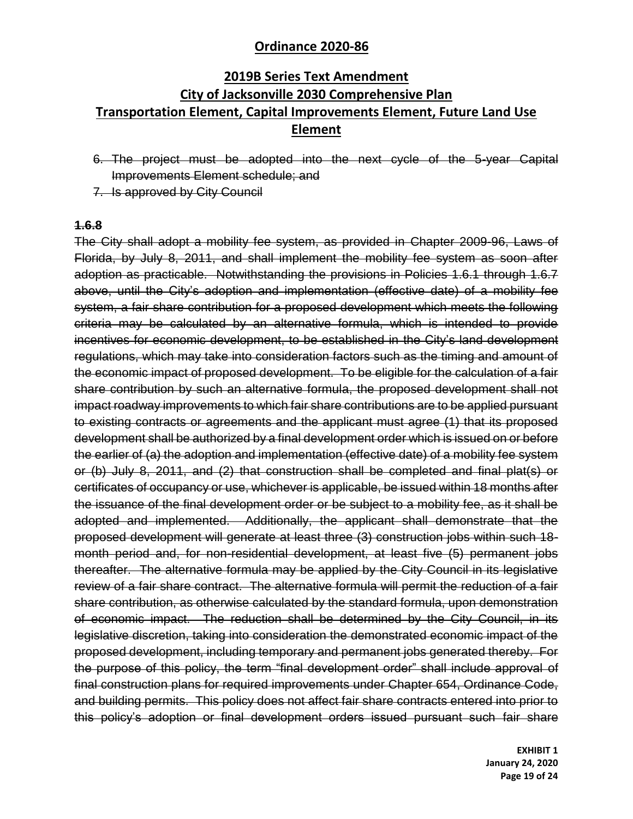## **2019B Series Text Amendment City of Jacksonville 2030 Comprehensive Plan Transportation Element, Capital Improvements Element, Future Land Use Element**

- 6. The project must be adopted into the next cycle of the 5-year Capital Improvements Element schedule; and
- 7. Is approved by City Council

#### **1.6.8**

The City shall adopt a mobility fee system, as provided in Chapter 2009-96, Laws of Florida, by July 8, 2011, and shall implement the mobility fee system as soon after adoption as practicable. Notwithstanding the provisions in Policies 1.6.1 through 1.6.7 above, until the City's adoption and implementation (effective date) of a mobility fee system, a fair share contribution for a proposed development which meets the following criteria may be calculated by an alternative formula, which is intended to provide incentives for economic development, to be established in the City's land development regulations, which may take into consideration factors such as the timing and amount of the economic impact of proposed development. To be eligible for the calculation of a fair share contribution by such an alternative formula, the proposed development shall not impact roadway improvements to which fair share contributions are to be applied pursuant to existing contracts or agreements and the applicant must agree (1) that its proposed development shall be authorized by a final development order which is issued on or before the earlier of (a) the adoption and implementation (effective date) of a mobility fee system or (b) July 8, 2011, and (2) that construction shall be completed and final plat(s) or certificates of occupancy or use, whichever is applicable, be issued within 18 months after the issuance of the final development order or be subject to a mobility fee, as it shall be adopted and implemented. Additionally, the applicant shall demonstrate that the proposed development will generate at least three (3) construction jobs within such 18 month period and, for non-residential development, at least five (5) permanent jobs thereafter. The alternative formula may be applied by the City Council in its legislative review of a fair share contract. The alternative formula will permit the reduction of a fair share contribution, as otherwise calculated by the standard formula, upon demonstration of economic impact. The reduction shall be determined by the City Council, in its legislative discretion, taking into consideration the demonstrated economic impact of the proposed development, including temporary and permanent jobs generated thereby. For the purpose of this policy, the term "final development order" shall include approval of final construction plans for required improvements under Chapter 654, Ordinance Code, and building permits. This policy does not affect fair share contracts entered into prior to this policy's adoption or final development orders issued pursuant such fair share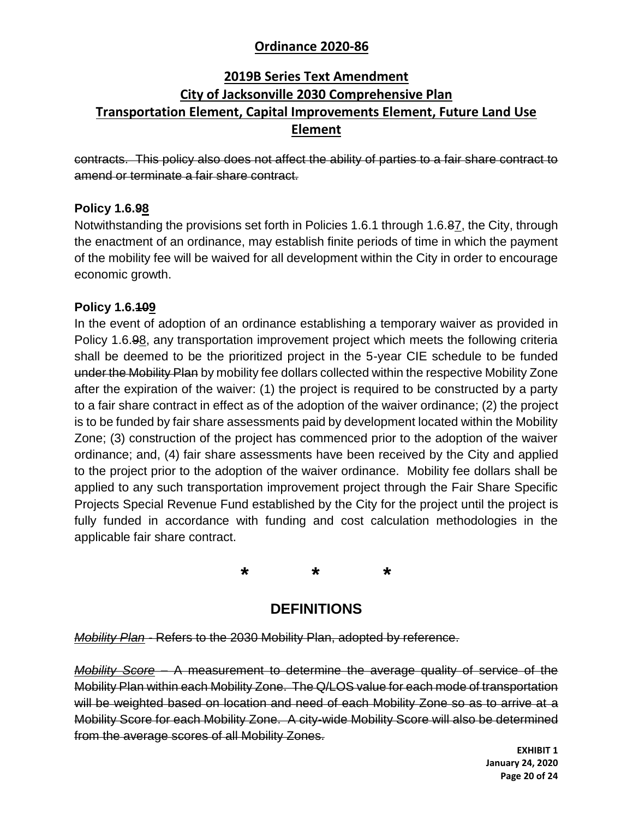## **2019B Series Text Amendment City of Jacksonville 2030 Comprehensive Plan Transportation Element, Capital Improvements Element, Future Land Use Element**

contracts. This policy also does not affect the ability of parties to a fair share contract to amend or terminate a fair share contract.

### **Policy 1.6.98**

Notwithstanding the provisions set forth in Policies 1.6.1 through 1.6.87, the City, through the enactment of an ordinance, may establish finite periods of time in which the payment of the mobility fee will be waived for all development within the City in order to encourage economic growth.

### **Policy 1.6.109**

In the event of adoption of an ordinance establishing a temporary waiver as provided in Policy 1.6.98, any transportation improvement project which meets the following criteria shall be deemed to be the prioritized project in the 5-year CIE schedule to be funded under the Mobility Plan by mobility fee dollars collected within the respective Mobility Zone after the expiration of the waiver: (1) the project is required to be constructed by a party to a fair share contract in effect as of the adoption of the waiver ordinance; (2) the project is to be funded by fair share assessments paid by development located within the Mobility Zone; (3) construction of the project has commenced prior to the adoption of the waiver ordinance; and, (4) fair share assessments have been received by the City and applied to the project prior to the adoption of the waiver ordinance. Mobility fee dollars shall be applied to any such transportation improvement project through the Fair Share Specific Projects Special Revenue Fund established by the City for the project until the project is fully funded in accordance with funding and cost calculation methodologies in the applicable fair share contract.

**\* \* \***

## **DEFINITIONS**

*Mobility Plan -* Refers to the 2030 Mobility Plan, adopted by reference.

*Mobility Score* – A measurement to determine the average quality of service of the Mobility Plan within each Mobility Zone. The Q/LOS value for each mode of transportation will be weighted based on location and need of each Mobility Zone so as to arrive at a Mobility Score for each Mobility Zone. A city-wide Mobility Score will also be determined from the average scores of all Mobility Zones.

> **EXHIBIT 1 January 24, 2020 Page 20 of 24**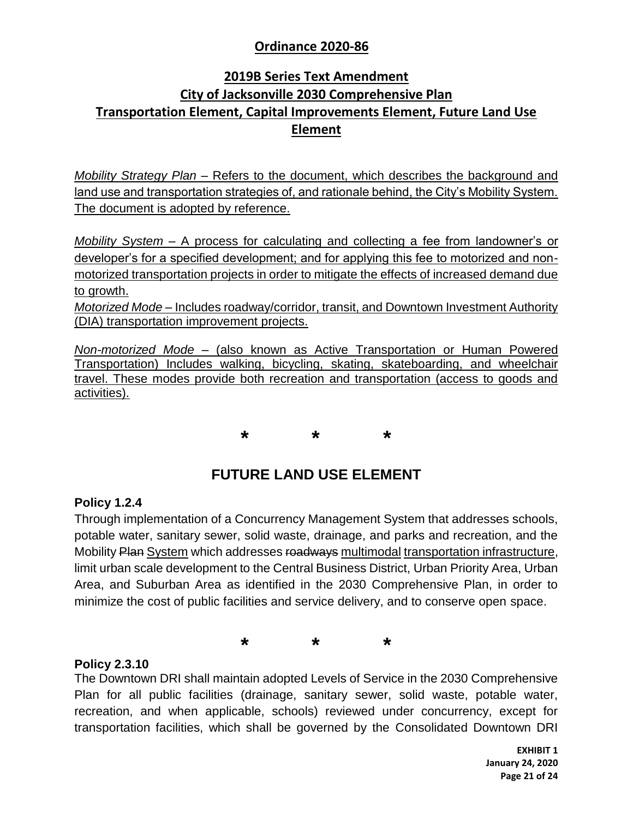## **2019B Series Text Amendment City of Jacksonville 2030 Comprehensive Plan Transportation Element, Capital Improvements Element, Future Land Use Element**

*Mobility Strategy Plan* – Refers to the document, which describes the background and land use and transportation strategies of, and rationale behind, the City's Mobility System. The document is adopted by reference.

*Mobility System* – A process for calculating and collecting a fee from landowner's or developer's for a specified development; and for applying this fee to motorized and nonmotorized transportation projects in order to mitigate the effects of increased demand due to growth.

*Motorized Mode* – Includes roadway/corridor, transit, and Downtown Investment Authority (DIA) transportation improvement projects.

*Non-motorized Mode* – (also known as Active Transportation or Human Powered Transportation) Includes walking, bicycling, skating, skateboarding, and wheelchair travel. These modes provide both recreation and transportation (access to goods and activities).

**\* \* \***

## **FUTURE LAND USE ELEMENT**

### **Policy 1.2.4**

Through implementation of a Concurrency Management System that addresses schools, potable water, sanitary sewer, solid waste, drainage, and parks and recreation, and the Mobility Plan System which addresses roadways multimodal transportation infrastructure, limit urban scale development to the Central Business District, Urban Priority Area, Urban Area, and Suburban Area as identified in the 2030 Comprehensive Plan, in order to minimize the cost of public facilities and service delivery, and to conserve open space.

**\* \* \***

#### **Policy 2.3.10**

The Downtown DRI shall maintain adopted Levels of Service in the 2030 Comprehensive Plan for all public facilities (drainage, sanitary sewer, solid waste, potable water, recreation, and when applicable, schools) reviewed under concurrency, except for transportation facilities, which shall be governed by the Consolidated Downtown DRI

> **EXHIBIT 1 January 24, 2020 Page 21 of 24**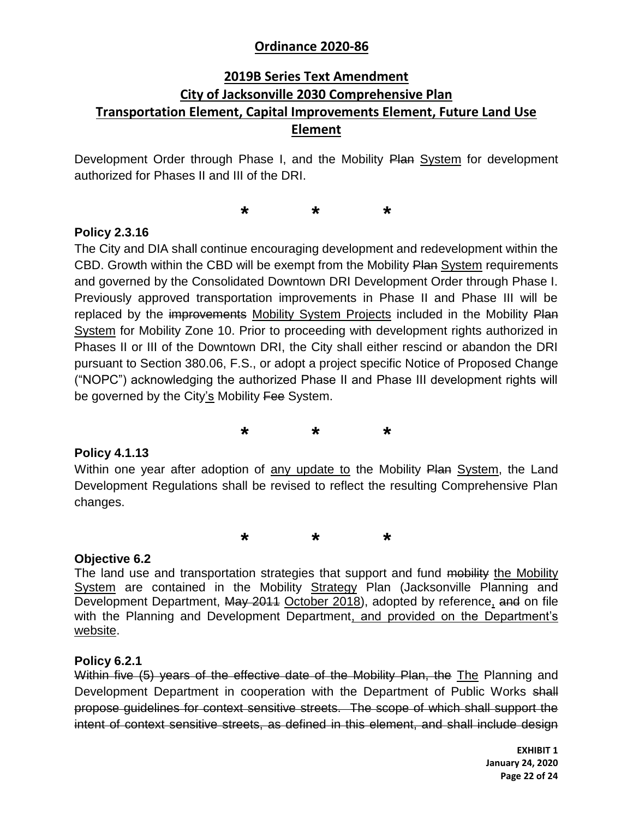## **2019B Series Text Amendment City of Jacksonville 2030 Comprehensive Plan Transportation Element, Capital Improvements Element, Future Land Use Element**

Development Order through Phase I, and the Mobility Plan System for development authorized for Phases II and III of the DRI.

**\* \* \***

### **Policy 2.3.16**

The City and DIA shall continue encouraging development and redevelopment within the CBD. Growth within the CBD will be exempt from the Mobility Plan System requirements and governed by the Consolidated Downtown DRI Development Order through Phase I. Previously approved transportation improvements in Phase II and Phase III will be replaced by the improvements Mobility System Projects included in the Mobility Plan System for Mobility Zone 10. Prior to proceeding with development rights authorized in Phases II or III of the Downtown DRI, the City shall either rescind or abandon the DRI pursuant to Section 380.06, F.S., or adopt a project specific Notice of Proposed Change ("NOPC") acknowledging the authorized Phase II and Phase III development rights will be governed by the City's Mobility Fee System.

**\* \* \***

#### **Policy 4.1.13**

Within one year after adoption of any update to the Mobility Plan System, the Land Development Regulations shall be revised to reflect the resulting Comprehensive Plan changes.

**\* \* \***

#### **Objective 6.2**

The land use and transportation strategies that support and fund mobility the Mobility System are contained in the Mobility Strategy Plan (Jacksonville Planning and Development Department, May 2011 October 2018), adopted by reference, and on file with the Planning and Development Department, and provided on the Department's website.

#### **Policy 6.2.1**

Within five (5) years of the effective date of the Mobility Plan, the The Planning and Development Department in cooperation with the Department of Public Works shall propose guidelines for context sensitive streets. The scope of which shall support the intent of context sensitive streets, as defined in this element, and shall include design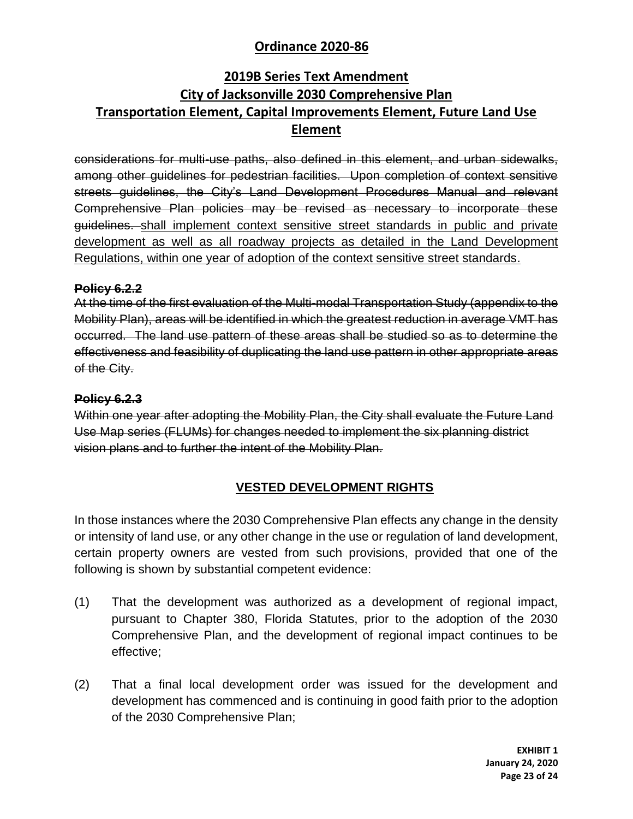## **2019B Series Text Amendment City of Jacksonville 2030 Comprehensive Plan Transportation Element, Capital Improvements Element, Future Land Use Element**

considerations for multi-use paths, also defined in this element, and urban sidewalks, among other guidelines for pedestrian facilities. Upon completion of context sensitive streets guidelines, the City's Land Development Procedures Manual and relevant Comprehensive Plan policies may be revised as necessary to incorporate these guidelines. shall implement context sensitive street standards in public and private development as well as all roadway projects as detailed in the Land Development Regulations, within one year of adoption of the context sensitive street standards.

#### **Policy 6.2.2**

At the time of the first evaluation of the Multi-modal Transportation Study (appendix to the Mobility Plan), areas will be identified in which the greatest reduction in average VMT has occurred. The land use pattern of these areas shall be studied so as to determine the effectiveness and feasibility of duplicating the land use pattern in other appropriate areas of the City.

### **Policy 6.2.3**

Within one year after adopting the Mobility Plan, the City shall evaluate the Future Land Use Map series (FLUMs) for changes needed to implement the six planning district vision plans and to further the intent of the Mobility Plan.

### **VESTED DEVELOPMENT RIGHTS**

In those instances where the 2030 Comprehensive Plan effects any change in the density or intensity of land use, or any other change in the use or regulation of land development, certain property owners are vested from such provisions, provided that one of the following is shown by substantial competent evidence:

- (1) That the development was authorized as a development of regional impact, pursuant to Chapter 380, Florida Statutes, prior to the adoption of the 2030 Comprehensive Plan, and the development of regional impact continues to be effective;
- (2) That a final local development order was issued for the development and development has commenced and is continuing in good faith prior to the adoption of the 2030 Comprehensive Plan;